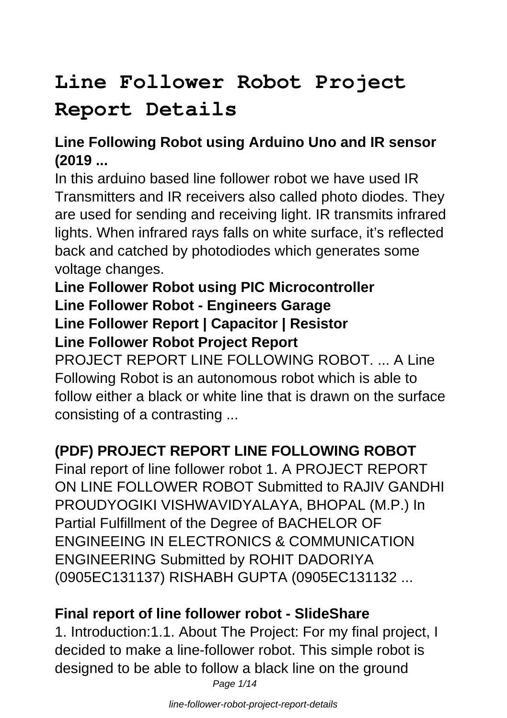# **Line Follower Robot Project**

# **Report Details**

# **Line Following Robot using Arduino Uno and IR sensor (2019 ...**

In this arduino based line follower robot we have used IR Transmitters and IR receivers also called photo diodes. They are used for sending and receiving light. IR transmits infrared lights. When infrared rays falls on white surface, it's reflected back and catched by photodiodes which generates some voltage changes.

### **Line Follower Robot using PIC Microcontroller Line Follower Robot - Engineers Garage Line Follower Report | Capacitor | Resistor Line Follower Robot Project Report**

PROJECT REPORT LINE FOLLOWING ROBOT. ... A Line Following Robot is an autonomous robot which is able to follow either a black or white line that is drawn on the surface consisting of a contrasting ...

# **(PDF) PROJECT REPORT LINE FOLLOWING ROBOT**

Final report of line follower robot 1. A PROJECT REPORT ON LINE FOLLOWER ROBOT Submitted to RAJIV GANDHI PROUDYOGIKI VISHWAVIDYALAYA, BHOPAL (M.P.) In Partial Fulfillment of the Degree of BACHELOR OF ENGINEEING IN ELECTRONICS & COMMUNICATION ENGINEERING Submitted by ROHIT DADORIYA (0905EC131137) RISHABH GUPTA (0905EC131132 ...

# **Final report of line follower robot - SlideShare**

1. Introduction:1.1. About The Project: For my final project, I decided to make a line-follower robot. This simple robot is designed to be able to follow a black line on the ground Page 1/14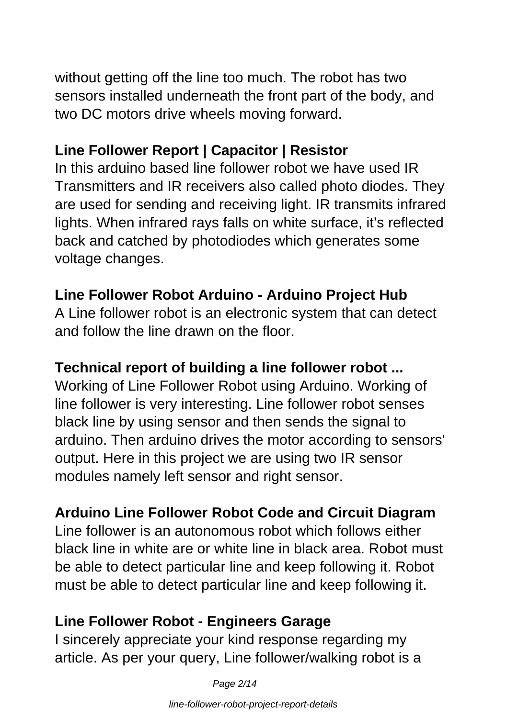without getting off the line too much. The robot has two sensors installed underneath the front part of the body, and two DC motors drive wheels moving forward.

# **Line Follower Report | Capacitor | Resistor**

In this arduino based line follower robot we have used IR Transmitters and IR receivers also called photo diodes. They are used for sending and receiving light. IR transmits infrared lights. When infrared rays falls on white surface, it's reflected back and catched by photodiodes which generates some voltage changes.

# **Line Follower Robot Arduino - Arduino Project Hub**

A Line follower robot is an electronic system that can detect and follow the line drawn on the floor.

# **Technical report of building a line follower robot ...**

Working of Line Follower Robot using Arduino. Working of line follower is very interesting. Line follower robot senses black line by using sensor and then sends the signal to arduino. Then arduino drives the motor according to sensors' output. Here in this project we are using two IR sensor modules namely left sensor and right sensor.

# **Arduino Line Follower Robot Code and Circuit Diagram**

Line follower is an autonomous robot which follows either black line in white are or white line in black area. Robot must be able to detect particular line and keep following it. Robot must be able to detect particular line and keep following it.

# **Line Follower Robot - Engineers Garage**

I sincerely appreciate your kind response regarding my article. As per your query, Line follower/walking robot is a

Page 2/14

line-follower-robot-project-report-details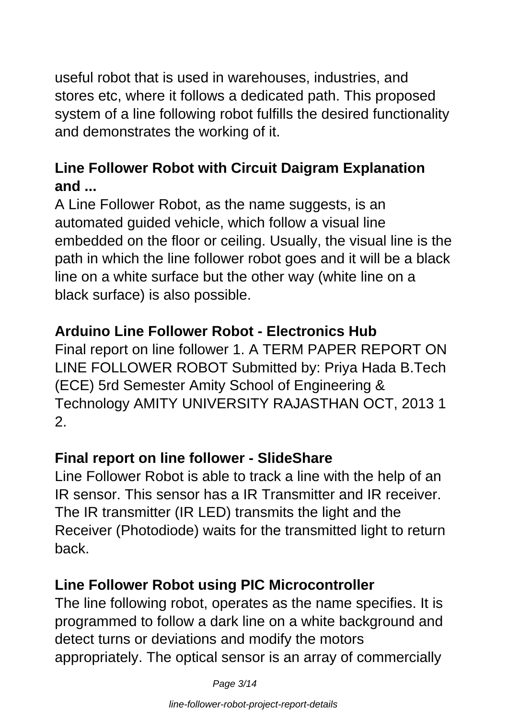useful robot that is used in warehouses, industries, and stores etc, where it follows a dedicated path. This proposed system of a line following robot fulfills the desired functionality and demonstrates the working of it.

# **Line Follower Robot with Circuit Daigram Explanation and ...**

A Line Follower Robot, as the name suggests, is an automated guided vehicle, which follow a visual line embedded on the floor or ceiling. Usually, the visual line is the path in which the line follower robot goes and it will be a black line on a white surface but the other way (white line on a black surface) is also possible.

#### **Arduino Line Follower Robot - Electronics Hub**

Final report on line follower 1. A TERM PAPER REPORT ON LINE FOLLOWER ROBOT Submitted by: Priya Hada B.Tech (ECE) 5rd Semester Amity School of Engineering & Technology AMITY UNIVERSITY RAJASTHAN OCT, 2013 1 2.

#### **Final report on line follower - SlideShare**

Line Follower Robot is able to track a line with the help of an IR sensor. This sensor has a IR Transmitter and IR receiver. The IR transmitter (IR LED) transmits the light and the Receiver (Photodiode) waits for the transmitted light to return back.

#### **Line Follower Robot using PIC Microcontroller**

The line following robot, operates as the name specifies. It is programmed to follow a dark line on a white background and detect turns or deviations and modify the motors appropriately. The optical sensor is an array of commercially

Page 3/14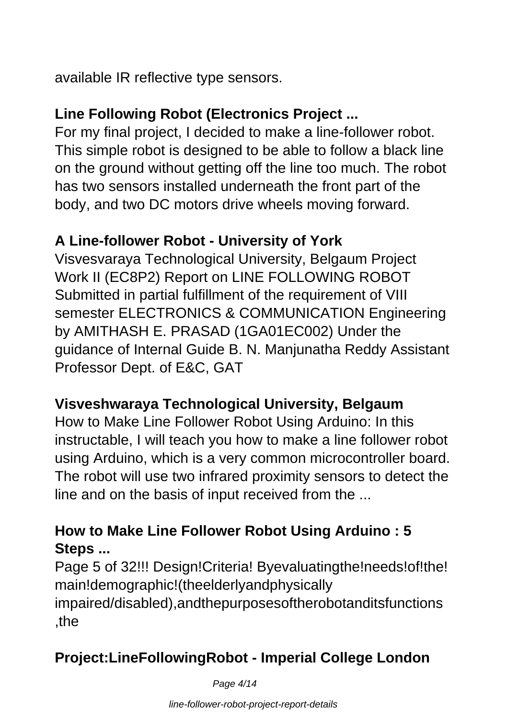available IR reflective type sensors.

# **Line Following Robot (Electronics Project ...**

For my final project, I decided to make a line-follower robot. This simple robot is designed to be able to follow a black line on the ground without getting off the line too much. The robot has two sensors installed underneath the front part of the body, and two DC motors drive wheels moving forward.

# **A Line-follower Robot - University of York**

Visvesvaraya Technological University, Belgaum Project Work II (EC8P2) Report on LINE FOLLOWING ROBOT Submitted in partial fulfillment of the requirement of VIII semester ELECTRONICS & COMMUNICATION Engineering by AMITHASH E. PRASAD (1GA01EC002) Under the guidance of Internal Guide B. N. Manjunatha Reddy Assistant Professor Dept. of E&C, GAT

# **Visveshwaraya Technological University, Belgaum**

How to Make Line Follower Robot Using Arduino: In this instructable, I will teach you how to make a line follower robot using Arduino, which is a very common microcontroller board. The robot will use two infrared proximity sensors to detect the line and on the basis of input received from the ...

# **How to Make Line Follower Robot Using Arduino : 5 Steps ...**

Page 5 of 32!!! Design! Criteria! Byevaluating the !needs! of! the! main!demographic!(theelderlyandphysically impaired/disabled),andthepurposesoftherobotanditsfunctions ,the

# **Project:LineFollowingRobot - Imperial College London**

Page 4/14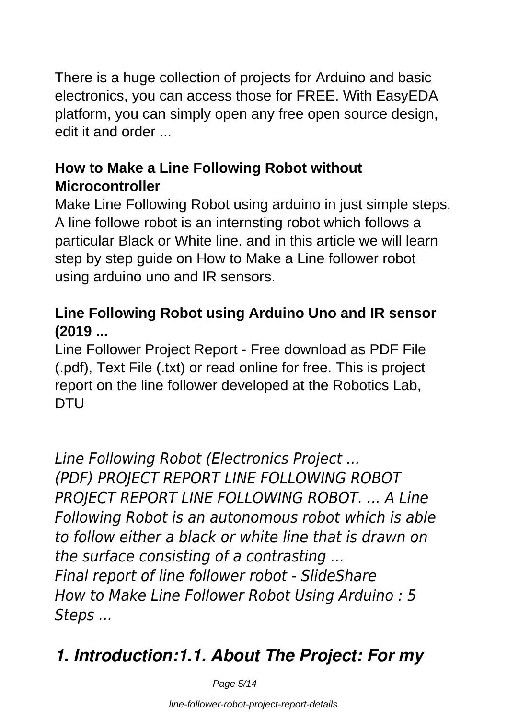There is a huge collection of projects for Arduino and basic electronics, you can access those for FREE. With EasyEDA platform, you can simply open any free open source design, edit it and order ...

# **How to Make a Line Following Robot without Microcontroller**

Make Line Following Robot using arduino in just simple steps, A line followe robot is an internsting robot which follows a particular Black or White line. and in this article we will learn step by step guide on How to Make a Line follower robot using arduino uno and IR sensors.

# **Line Following Robot using Arduino Uno and IR sensor (2019 ...**

Line Follower Project Report - Free download as PDF File (.pdf), Text File (.txt) or read online for free. This is project report on the line follower developed at the Robotics Lab, DTU

*Line Following Robot (Electronics Project ... (PDF) PROJECT REPORT LINE FOLLOWING ROBOT PROJECT REPORT LINE FOLLOWING ROBOT. ... A Line Following Robot is an autonomous robot which is able to follow either a black or white line that is drawn on the surface consisting of a contrasting ... Final report of line follower robot - SlideShare How to Make Line Follower Robot Using Arduino : 5 Steps ...*

# *1. Introduction:1.1. About The Project: For my*

Page 5/14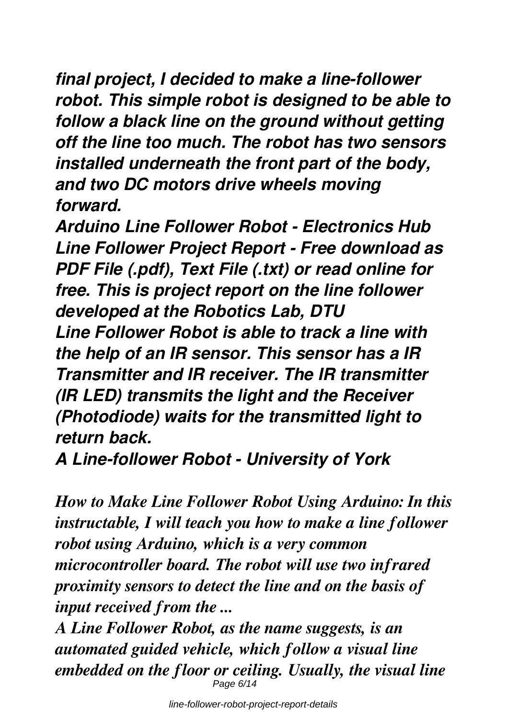*final project, I decided to make a line-follower robot. This simple robot is designed to be able to follow a black line on the ground without getting off the line too much. The robot has two sensors installed underneath the front part of the body, and two DC motors drive wheels moving forward.*

*Arduino Line Follower Robot - Electronics Hub Line Follower Project Report - Free download as PDF File (.pdf), Text File (.txt) or read online for free. This is project report on the line follower developed at the Robotics Lab, DTU Line Follower Robot is able to track a line with the help of an IR sensor. This sensor has a IR Transmitter and IR receiver. The IR transmitter (IR LED) transmits the light and the Receiver (Photodiode) waits for the transmitted light to return back.*

*A Line-follower Robot - University of York*

*How to Make Line Follower Robot Using Arduino: In this instructable, I will teach you how to make a line follower robot using Arduino, which is a very common microcontroller board. The robot will use two infrared proximity sensors to detect the line and on the basis of input received from the ...*

*A Line Follower Robot, as the name suggests, is an automated guided vehicle, which follow a visual line embedded on the floor or ceiling. Usually, the visual line* Page 6/14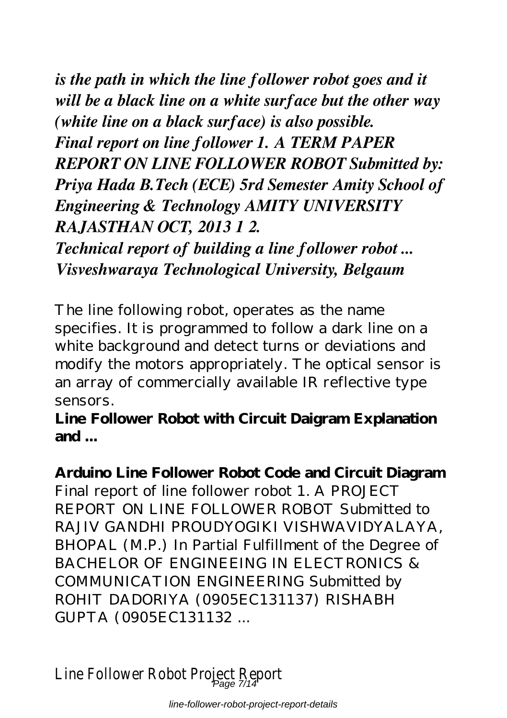*is the path in which the line follower robot goes and it will be a black line on a white surface but the other way (white line on a black surface) is also possible. Final report on line follower 1. A TERM PAPER REPORT ON LINE FOLLOWER ROBOT Submitted by: Priya Hada B.Tech (ECE) 5rd Semester Amity School of Engineering & Technology AMITY UNIVERSITY RAJASTHAN OCT, 2013 1 2.*

*Technical report of building a line follower robot ... Visveshwaraya Technological University, Belgaum*

The line following robot, operates as the name specifies. It is programmed to follow a dark line on a white background and detect turns or deviations and modify the motors appropriately. The optical sensor is an array of commercially available IR reflective type sensors.

**Line Follower Robot with Circuit Daigram Explanation and ...**

**Arduino Line Follower Robot Code and Circuit Diagram** Final report of line follower robot 1. A PROJECT REPORT ON LINE FOLLOWER ROBOT Submitted to RAJIV GANDHI PROUDYOGIKI VISHWAVIDYALAYA, BHOPAL (M.P.) In Partial Fulfillment of the Degree of BACHELOR OF ENGINEEING IN ELECTRONICS & COMMUNICATION ENGINEERING Submitted by ROHIT DADORIYA (0905EC131137) RISHABH GUPTA (0905EC131132 ...

Line Follower Robot Project Report Page 7/14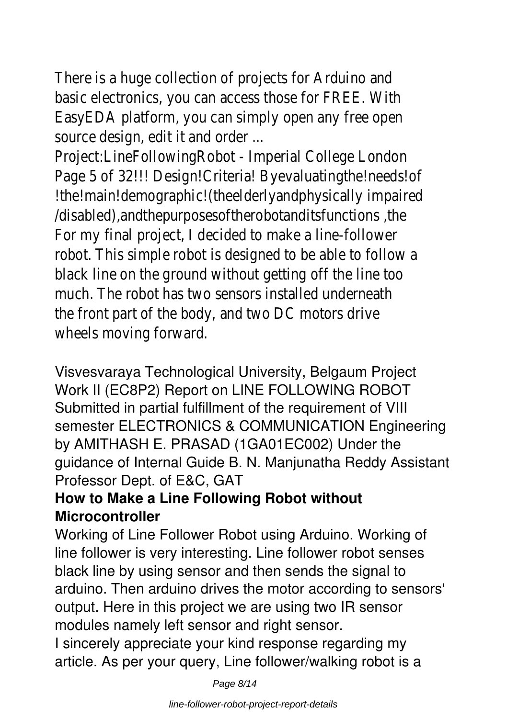There is a huge collection of projects for Arduino and basic electronics, you can access those for FREE. With EasyEDA platform, you can simply open any free open source design, edit it and order ...

Project:LineFollowingRobot - Imperial College London Page 5 of 32!!! Design!Criteria! Byevaluatingthe!needs!of !the!main!demographic!(theelderlyandphysically impaired /disabled),andthepurposesoftherobotanditsfunctions ,the For my final project, I decided to make a line-follower robot. This simple robot is designed to be able to follow a black line on the ground without getting off the line too much. The robot has two sensors installed underneath the front part of the body, and two DC motors drive wheels moving forward.

Visvesvaraya Technological University, Belgaum Project Work II (EC8P2) Report on LINE FOLLOWING ROBOT Submitted in partial fulfillment of the requirement of VIII semester ELECTRONICS & COMMUNICATION Engineering by AMITHASH E. PRASAD (1GA01EC002) Under the guidance of Internal Guide B. N. Manjunatha Reddy Assistant Professor Dept. of E&C, GAT

# **How to Make a Line Following Robot without Microcontroller**

Working of Line Follower Robot using Arduino. Working of line follower is very interesting. Line follower robot senses black line by using sensor and then sends the signal to arduino. Then arduino drives the motor according to sensors' output. Here in this project we are using two IR sensor modules namely left sensor and right sensor.

I sincerely appreciate your kind response regarding my article. As per your query, Line follower/walking robot is a

Page 8/14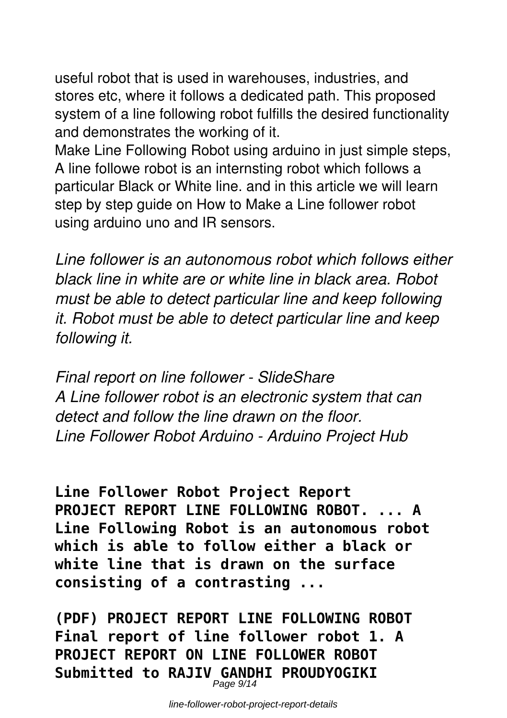useful robot that is used in warehouses, industries, and stores etc, where it follows a dedicated path. This proposed system of a line following robot fulfills the desired functionality and demonstrates the working of it.

Make Line Following Robot using arduino in just simple steps, A line followe robot is an internsting robot which follows a particular Black or White line. and in this article we will learn step by step guide on How to Make a Line follower robot using arduino uno and IR sensors.

*Line follower is an autonomous robot which follows either black line in white are or white line in black area. Robot must be able to detect particular line and keep following it. Robot must be able to detect particular line and keep following it.*

*Final report on line follower - SlideShare A Line follower robot is an electronic system that can detect and follow the line drawn on the floor. Line Follower Robot Arduino - Arduino Project Hub*

**Line Follower Robot Project Report PROJECT REPORT LINE FOLLOWING ROBOT. ... A Line Following Robot is an autonomous robot which is able to follow either a black or white line that is drawn on the surface consisting of a contrasting ...**

**(PDF) PROJECT REPORT LINE FOLLOWING ROBOT Final report of line follower robot 1. A PROJECT REPORT ON LINE FOLLOWER ROBOT Submitted to RAJIV GANDHI PROUDYOGIKI** Page 9/14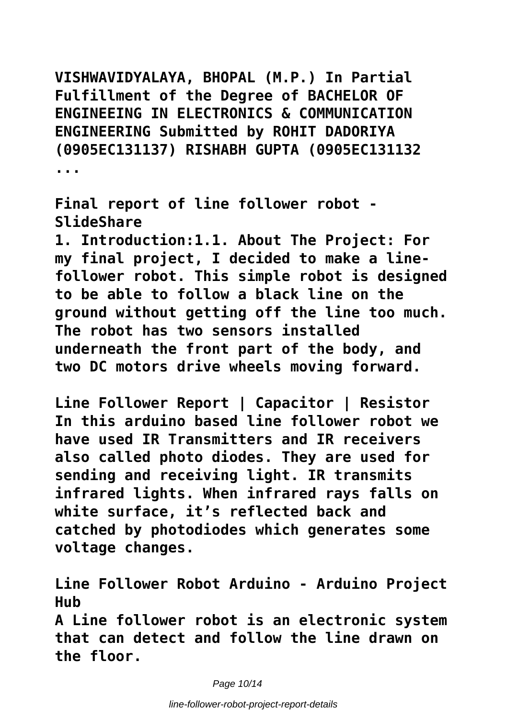**VISHWAVIDYALAYA, BHOPAL (M.P.) In Partial Fulfillment of the Degree of BACHELOR OF ENGINEEING IN ELECTRONICS & COMMUNICATION ENGINEERING Submitted by ROHIT DADORIYA (0905EC131137) RISHABH GUPTA (0905EC131132 ...**

**Final report of line follower robot - SlideShare**

**1. Introduction:1.1. About The Project: For my final project, I decided to make a linefollower robot. This simple robot is designed to be able to follow a black line on the ground without getting off the line too much. The robot has two sensors installed underneath the front part of the body, and two DC motors drive wheels moving forward.**

**Line Follower Report | Capacitor | Resistor In this arduino based line follower robot we have used IR Transmitters and IR receivers also called photo diodes. They are used for sending and receiving light. IR transmits infrared lights. When infrared rays falls on white surface, it's reflected back and catched by photodiodes which generates some voltage changes.**

**Line Follower Robot Arduino - Arduino Project Hub**

**A Line follower robot is an electronic system that can detect and follow the line drawn on the floor.**

Page 10/14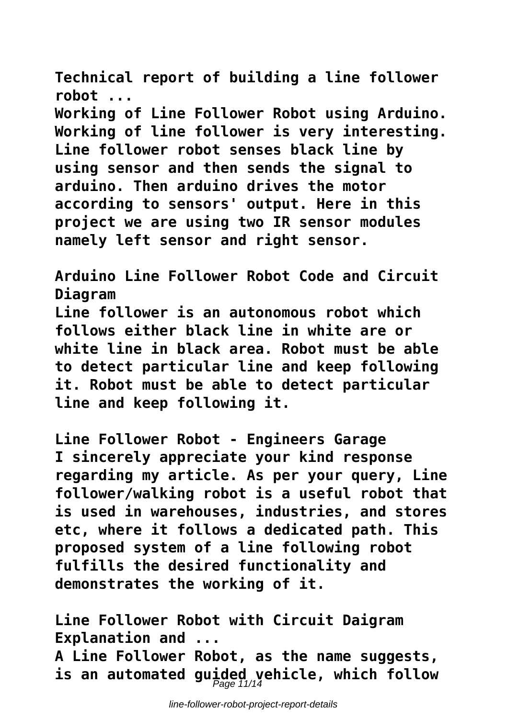**Technical report of building a line follower robot ...**

**Working of Line Follower Robot using Arduino. Working of line follower is very interesting. Line follower robot senses black line by using sensor and then sends the signal to arduino. Then arduino drives the motor according to sensors' output. Here in this project we are using two IR sensor modules namely left sensor and right sensor.**

**Arduino Line Follower Robot Code and Circuit Diagram Line follower is an autonomous robot which follows either black line in white are or white line in black area. Robot must be able to detect particular line and keep following it. Robot must be able to detect particular line and keep following it.**

**Line Follower Robot - Engineers Garage I sincerely appreciate your kind response regarding my article. As per your query, Line follower/walking robot is a useful robot that is used in warehouses, industries, and stores etc, where it follows a dedicated path. This proposed system of a line following robot fulfills the desired functionality and demonstrates the working of it.**

**Line Follower Robot with Circuit Daigram Explanation and ... A Line Follower Robot, as the name suggests, is an automated guided vehicle, which follow** Page 11/14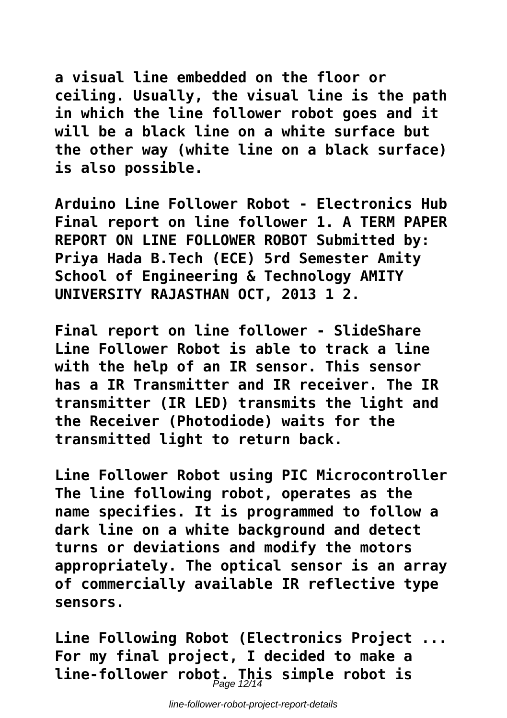**a visual line embedded on the floor or ceiling. Usually, the visual line is the path in which the line follower robot goes and it will be a black line on a white surface but the other way (white line on a black surface) is also possible.**

**Arduino Line Follower Robot - Electronics Hub Final report on line follower 1. A TERM PAPER REPORT ON LINE FOLLOWER ROBOT Submitted by: Priya Hada B.Tech (ECE) 5rd Semester Amity School of Engineering & Technology AMITY UNIVERSITY RAJASTHAN OCT, 2013 1 2.**

**Final report on line follower - SlideShare Line Follower Robot is able to track a line with the help of an IR sensor. This sensor has a IR Transmitter and IR receiver. The IR transmitter (IR LED) transmits the light and the Receiver (Photodiode) waits for the transmitted light to return back.**

**Line Follower Robot using PIC Microcontroller The line following robot, operates as the name specifies. It is programmed to follow a dark line on a white background and detect turns or deviations and modify the motors appropriately. The optical sensor is an array of commercially available IR reflective type sensors.**

**Line Following Robot (Electronics Project ... For my final project, I decided to make a line-follower robot. This simple robot is** Page 12/14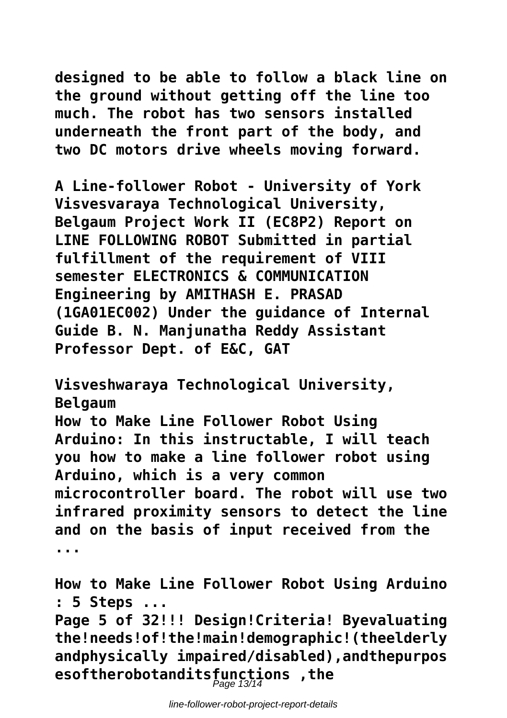**designed to be able to follow a black line on the ground without getting off the line too much. The robot has two sensors installed underneath the front part of the body, and two DC motors drive wheels moving forward.**

**A Line-follower Robot - University of York Visvesvaraya Technological University, Belgaum Project Work II (EC8P2) Report on LINE FOLLOWING ROBOT Submitted in partial fulfillment of the requirement of VIII semester ELECTRONICS & COMMUNICATION Engineering by AMITHASH E. PRASAD (1GA01EC002) Under the guidance of Internal Guide B. N. Manjunatha Reddy Assistant Professor Dept. of E&C, GAT**

**Visveshwaraya Technological University, Belgaum How to Make Line Follower Robot Using Arduino: In this instructable, I will teach you how to make a line follower robot using Arduino, which is a very common microcontroller board. The robot will use two infrared proximity sensors to detect the line and on the basis of input received from the ...**

**How to Make Line Follower Robot Using Arduino : 5 Steps ...**

**Page 5 of 32!!! Design!Criteria! Byevaluating the!needs!of!the!main!demographic!(theelderly andphysically impaired/disabled),andthepurpos esoftherobotanditsfunctions ,the** Page 13/14